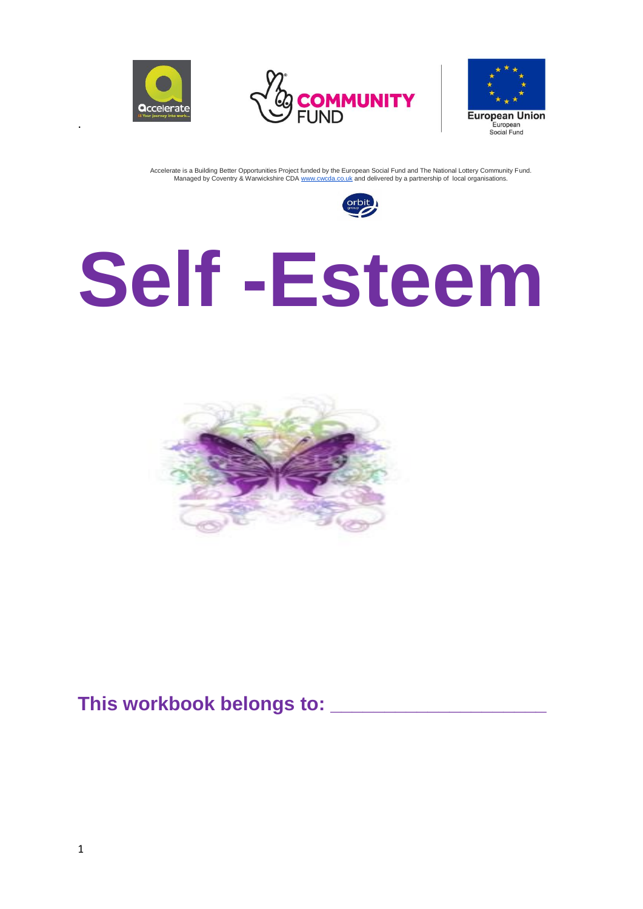

.





Accelerate is a Building Better Opportunities Project funded by the European Social Fund and The National Lottery Community Fund. Managed by Coventry & Warwickshire CDA [www.cwcda.co.uk](http://www.cwcda.co.uk/) and delivered by a partnership of local organisations.



# **Self -Esteem**



### **This workbook belongs to: \_\_\_\_\_\_\_\_\_\_\_\_\_\_\_\_\_\_\_\_**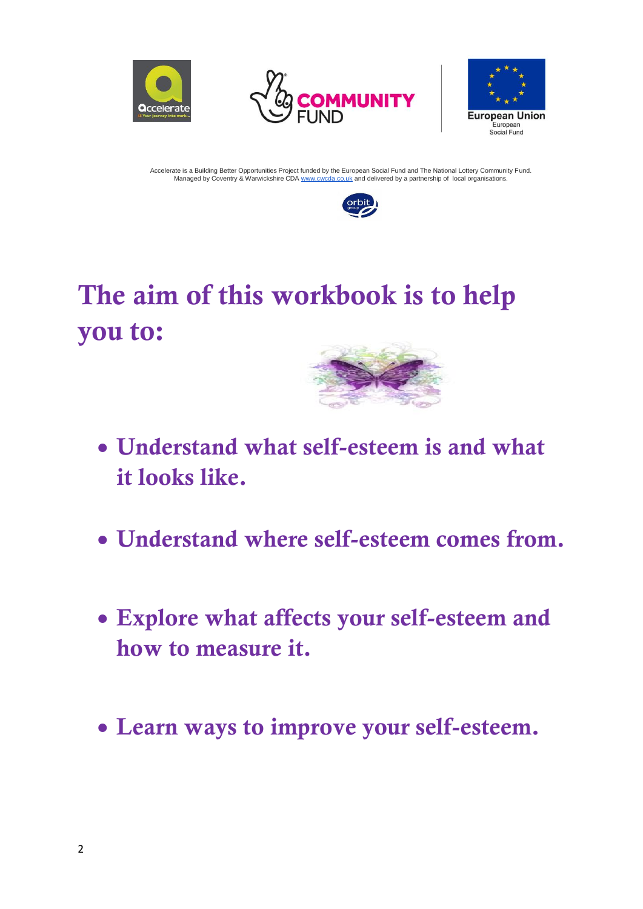







## The aim of this workbook is to help you to:



- Understand what self-esteem is and what it looks like.
- Understand where self-esteem comes from.
- Explore what affects your self-esteem and how to measure it.
- Learn ways to improve your self-esteem.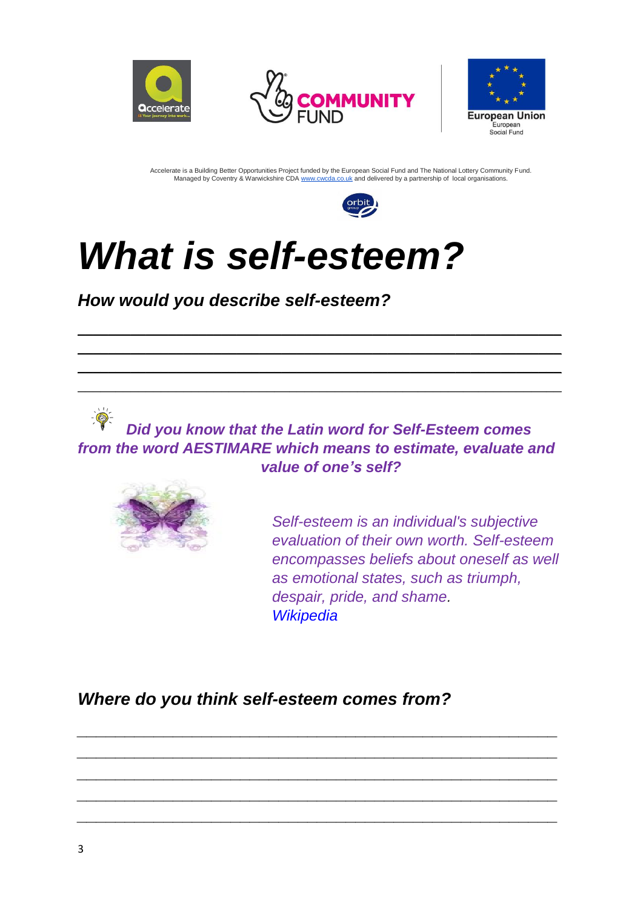







## *What is self-esteem?*

*How would you describe self-esteem?*

*Did you know that the Latin word for Self-Esteem comes from the word AESTIMARE which means to estimate, evaluate and value of one's self?* 

*\_\_\_\_\_\_\_\_\_\_\_\_\_\_\_\_\_\_\_\_\_\_\_\_\_\_\_\_\_\_\_\_\_\_\_\_\_\_\_\_\_\_\_\_\_\_\_\_\_\_ \_\_\_\_\_\_\_\_\_\_\_\_\_\_\_\_\_\_\_\_\_\_\_\_\_\_\_\_\_\_\_\_\_\_\_\_\_\_\_\_\_\_\_\_\_\_\_\_\_\_ \_\_\_\_\_\_\_\_\_\_\_\_\_\_\_\_\_\_\_\_\_\_\_\_\_\_\_\_\_\_\_\_\_\_\_\_\_\_\_\_\_\_\_\_\_\_\_\_\_\_ \_\_\_\_\_\_\_\_\_\_\_\_\_\_\_\_\_\_\_\_\_\_\_\_\_\_\_\_\_\_\_\_\_\_\_\_\_\_\_\_\_\_\_\_\_\_\_\_\_\_ \_\_\_\_\_\_\_\_\_\_\_\_\_\_\_\_\_\_\_\_\_\_\_\_\_\_\_\_\_\_\_\_\_\_\_\_\_\_\_\_\_\_\_\_\_\_\_\_\_\_*

*\_\_\_\_\_\_\_\_\_\_\_\_\_\_\_\_\_\_\_\_\_\_\_\_\_\_\_\_\_\_\_\_\_\_\_\_\_\_\_\_\_\_\_\_\_\_\_\_\_\_\_\_\_\_\_\_\_\_\_\_\_\_\_\_ \_\_\_\_\_\_\_\_\_\_\_\_\_\_\_\_\_\_\_\_\_\_\_\_\_\_\_\_\_\_\_\_\_\_\_\_\_\_\_\_\_\_\_\_\_\_\_\_\_\_\_\_\_\_\_\_\_\_\_\_\_\_\_\_ \_\_\_\_\_\_\_\_\_\_\_\_\_\_\_\_\_\_\_\_\_\_\_\_\_\_\_\_\_\_\_\_\_\_\_\_\_\_\_\_\_\_\_\_\_\_\_\_\_\_\_\_\_\_\_\_\_\_\_\_\_\_\_\_ \_\_\_\_\_\_\_\_\_\_\_\_\_\_\_\_\_\_\_\_\_\_\_\_\_\_\_\_\_\_\_\_\_\_\_\_\_\_\_\_\_\_\_\_\_\_\_\_\_\_\_\_\_\_\_\_\_\_\_\_\_\_\_\_*



*Self-esteem is an individual's subjective evaluation of their own worth. Self-esteem encompasses beliefs about oneself as well as emotional states, such as triumph, despair, pride, and shame. [Wikipedia](https://en.wikipedia.org/wiki/Self-esteem)*

*Where do you think self-esteem comes from?*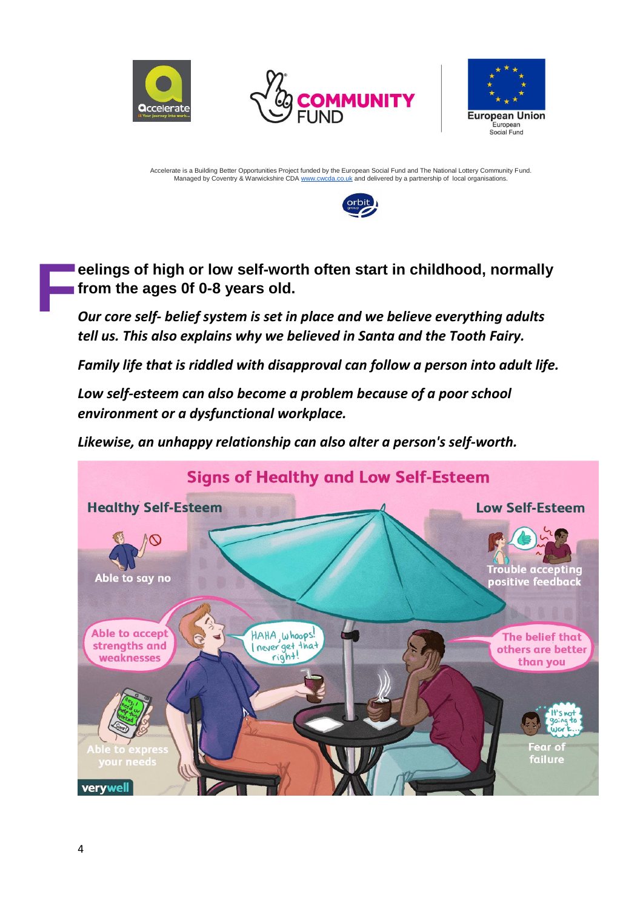







**eelings of [high or low self-worth](https://www.psychologytoday.com/us/blog/brainstorm/201809/how-self-esteem-changes-over-the-lifespan) often start in [childhood,](http://www.psychologytoday.com/gb/basics/child-development) normally from the ages 0f 0-8 years old. F**

*Our core self- belief system is set in place and we believe everything adults tell us. This also explains why we believed in Santa and the Tooth Fairy.*

*Family life that is riddled with disapproval can follow a person into adult life.* 

*Low self-esteem can also become a problem because of a poor school environment or a dysfunctional workplace.* 

*Likewise, an unhappy relationship can also alter a person's self-worth.*

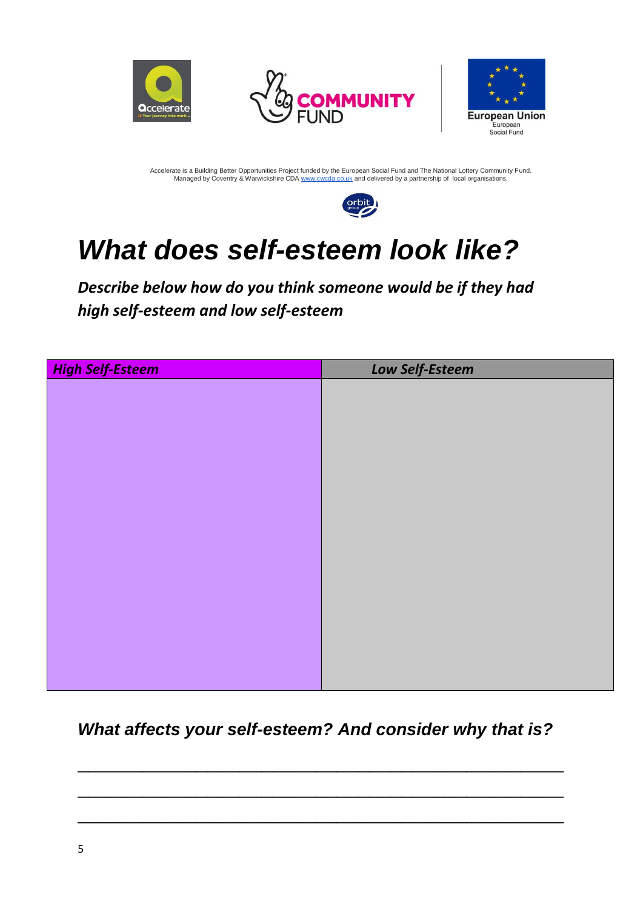







## *What does self-esteem look like?*

*Describe below how do you think someone would be if they had high self-esteem and low self-esteem*

| <b>High Self-Esteem</b> | Low Self-Esteem |
|-------------------------|-----------------|
|                         |                 |
|                         |                 |
|                         |                 |
|                         |                 |
|                         |                 |
|                         |                 |
|                         |                 |
|                         |                 |
|                         |                 |
|                         |                 |
|                         |                 |
|                         |                 |
|                         |                 |
|                         |                 |
|                         |                 |
|                         |                 |

#### *What affects your self-esteem? And consider why that is?*

 $\overline{\phantom{a}}$  , and the contract of the contract of the contract of the contract of the contract of the contract of the contract of the contract of the contract of the contract of the contract of the contract of the contrac

 $\overline{\phantom{a}}$  , and the contract of the contract of the contract of the contract of the contract of the contract of the contract of the contract of the contract of the contract of the contract of the contract of the contrac

 $\overline{\phantom{a}}$  , and the contract of the contract of the contract of the contract of the contract of the contract of the contract of the contract of the contract of the contract of the contract of the contract of the contrac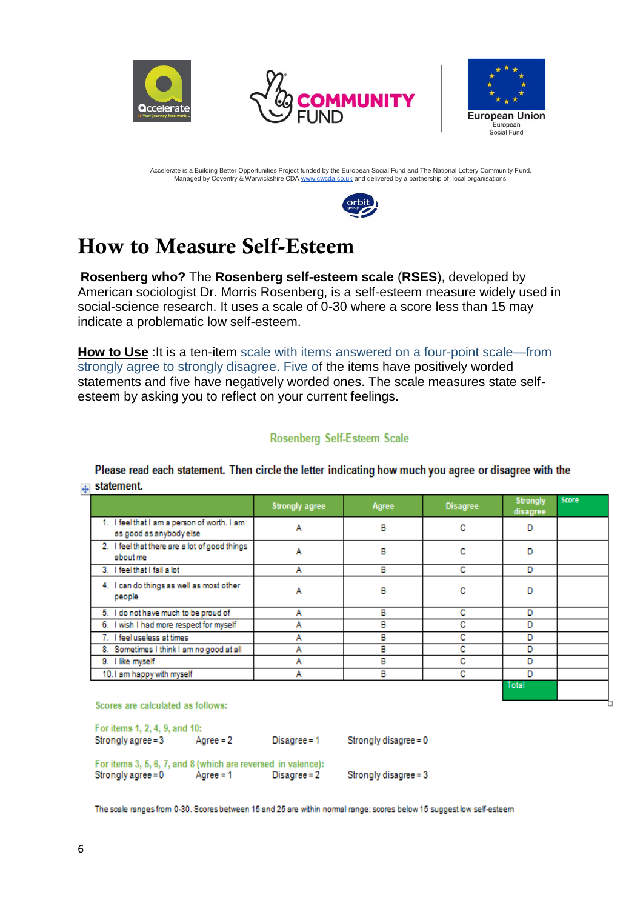





Ь

Accelerate is a Building Better Opportunities Project funded by the European Social Fund and The National Lottery Community Fund. Managed by Coventry & Warwickshire CDA [www.cwcda.co.uk](http://www.cwcda.co.uk/) and delivered by a partnership of local organisations.



## How to Measure Self-Esteem

**Rosenberg who?** The **Rosenberg self-esteem scale** (**RSES**), developed by American sociologist Dr. Morris Rosenberg, is a [self-esteem](https://en.wikipedia.org/wiki/Self-esteem) measure widely used in social-science research. It uses a scale of 0-30 where a score less than 15 may indicate a problematic low self-esteem.

**How to Use** :It is a ten-item [scale](https://en.wikipedia.org/wiki/Likert_scale) with items answered on a four-point scale—from strongly agree to strongly disagree. Five of the items have positively worded statements and five have negatively worded ones. The scale measures state selfesteem by asking you to reflect on your current feelings.

#### Rosenberg Self-Esteem Scale

Please read each statement. Then circle the letter indicating how much you agree or disagree with the  $\leftarrow$  statement.

|                                                                        | <b>Strongly agree</b> | Agree | <b>Disagree</b> | <b>Strongly</b><br>disagree | Score |
|------------------------------------------------------------------------|-----------------------|-------|-----------------|-----------------------------|-------|
| 1. I feel that I am a person of worth. I am<br>as good as anybody else | А                     | в     | с               |                             |       |
| 2. I feel that there are a lot of good things<br>about me              | А                     | в     | с               | D                           |       |
| 3. I feel that I fail a lot                                            | А                     | в     | с               | D                           |       |
| 4. I can do things as well as most other<br>people                     | A                     | в     | с               |                             |       |
| 5. I do not have much to be proud of                                   | А                     | в     | с               | D                           |       |
| 6. I wish I had more respect for myself                                | А                     | В     | с               | D                           |       |
| 7. I feel useless at times                                             | А                     | в     | с               | D                           |       |
| 8. Sometimes I think I am no good at all                               | A                     | В     | с               | D                           |       |
| 9. I like myself                                                       | А                     | в     | с               | D                           |       |
| 10.1 am happy with myself                                              | A                     | в     | с               | D                           |       |
|                                                                        |                       |       |                 | <b>Total</b>                |       |

Scores are calculated as follows:

For items 1, 2, 4, 9, and 10: Strongly agree = 3  $Aqree = 2$  $Disagree = 1$ Strongly disagree = 0 For items 3, 5, 6, 7, and 8 (which are reversed in valence): Strongly agree = 0  $Aqree = 1$  $Disagree = 2$ Strongly disagree = 3

The scale ranges from 0-30. Scores between 15 and 25 are within normal range; scores below 15 suggest low self-esteem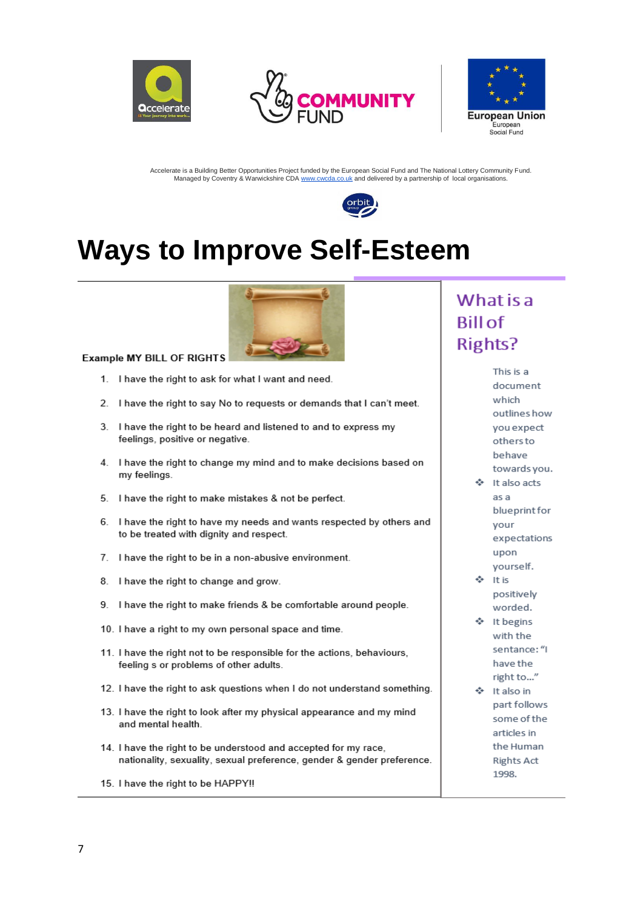







## **Ways to Improve Self-Esteem**



**Example MY BILL OF RIGHTS** 

- 1. I have the right to ask for what I want and need.
- 2. I have the right to say No to requests or demands that I can't meet.
- 3. I have the right to be heard and listened to and to express my feelings, positive or negative.
- 4. I have the right to change my mind and to make decisions based on my feelings.
- 5. I have the right to make mistakes & not be perfect.
- 6. I have the right to have my needs and wants respected by others and to be treated with dignity and respect.
- 7. I have the right to be in a non-abusive environment.
- 8. I have the right to change and grow.
- 9. I have the right to make friends & be comfortable around people.
- 10. I have a right to my own personal space and time.
- 11. I have the right not to be responsible for the actions, behaviours, feeling s or problems of other adults.
- 12. I have the right to ask questions when I do not understand something.
- 13. I have the right to look after my physical appearance and my mind and mental health.
- 14. I have the right to be understood and accepted for my race, nationality, sexuality, sexual preference, gender & gender preference.

15. I have the right to be HAPPY !!

#### What is a **Bill of Rights?**

This is a document which outlines how you expect others to behave towards you.

It also acts as a blueprint for your expectations upon yourself.

It is positively worded.

- It begins with the sentance: "I have the right to..."
- It also in part follows some of the articles in the Human **Rights Act** 1998.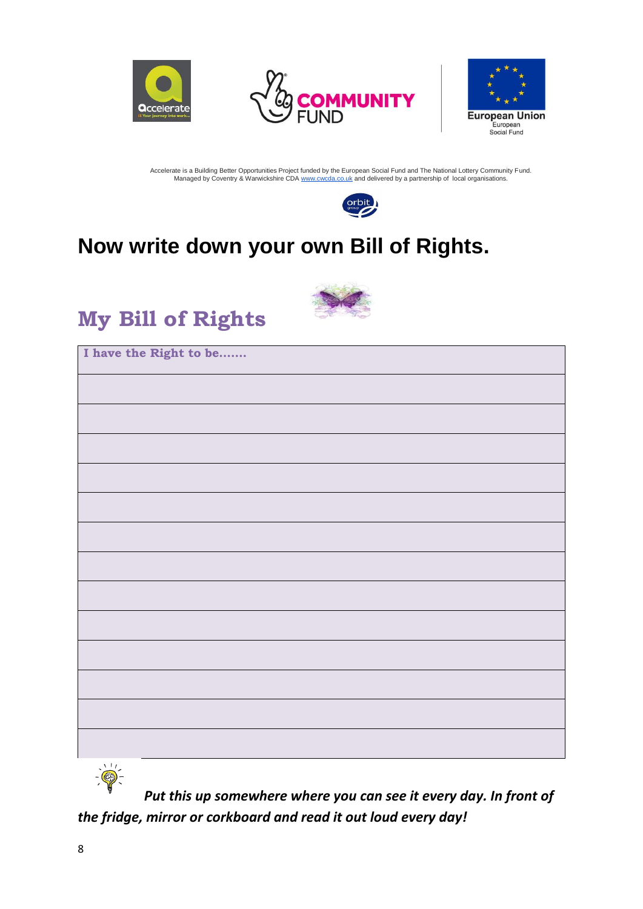







## **Now write down your own Bill of Rights.**



## **My Bill of Rights**

| I have the Right to be |  |
|------------------------|--|
|                        |  |
|                        |  |
|                        |  |
|                        |  |
|                        |  |
|                        |  |
|                        |  |
|                        |  |
|                        |  |
|                        |  |
|                        |  |
|                        |  |
|                        |  |

*Put this up somewhere where you can see it every day. In front of the fridge, mirror or corkboard and read it out loud every day!*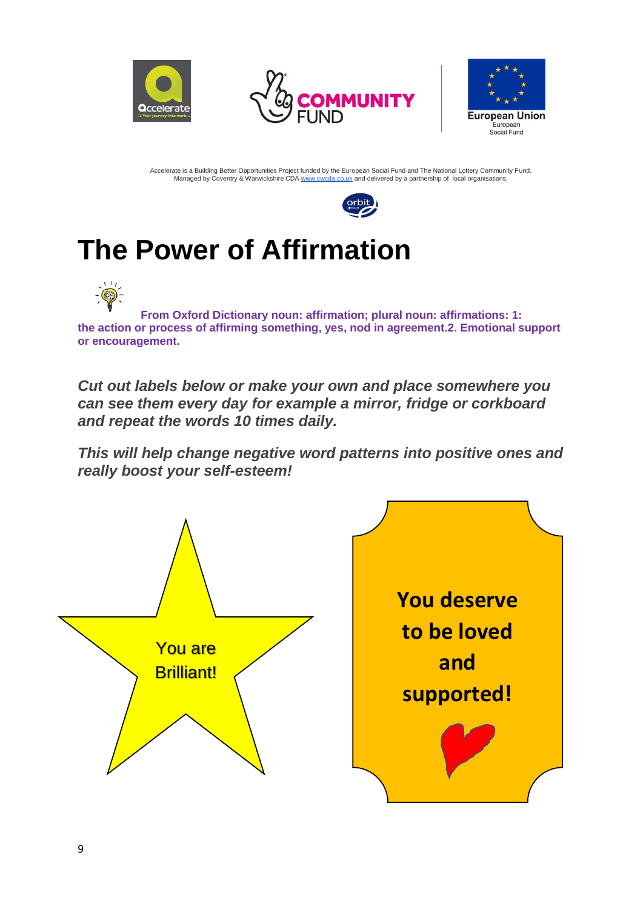







## **The Power of Affirmation**

**From Oxford Dictionary noun: affirmation; plural noun: affirmations: 1: the action or process of affirming something, yes, nod in agreement.2. Emotional support or encouragement.**

*Cut out labels below or make your own and place somewhere you can see them every day for example a mirror, fridge or corkboard and repeat the words 10 times daily.* 

*This will help change negative word patterns into positive ones and really boost your self-esteem!*

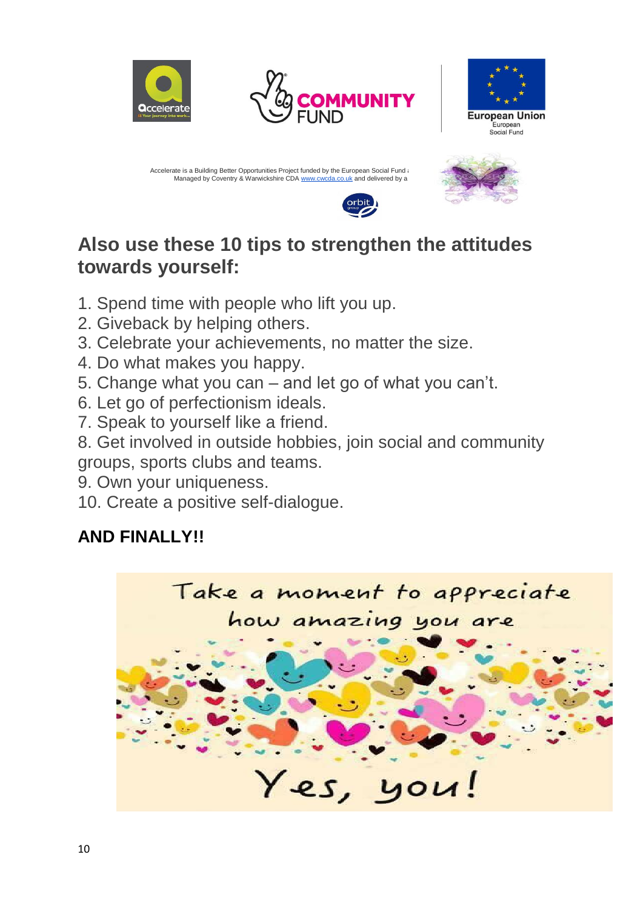





Accelerate is a Building Better Opportunities Project funded by the European Social Fund and The National Equational Equational Equational Equational Lottery Fund. Managed by Coventry & Warwickshire CDA [www.cwcda.co.uk](http://www.cwcda.co.uk/) and delivered by a



### **Also use these 10 tips to strengthen the attitudes towards yourself:**

- 1. Spend time with people who lift you up.
- 2. Giveback by helping others.
- 3. Celebrate your achievements, no matter the size.
- 4. Do what makes you happy.
- 5. Change what you can and let go of what you can't.
- 6. Let go of perfectionism ideals.
- 7. Speak to yourself like a friend.

8. Get involved in outside hobbies, join social and community groups, sports clubs and teams.

- 9. Own your uniqueness.
- 10. Create a positive self-dialogue.

## **AND FINALLY!!**